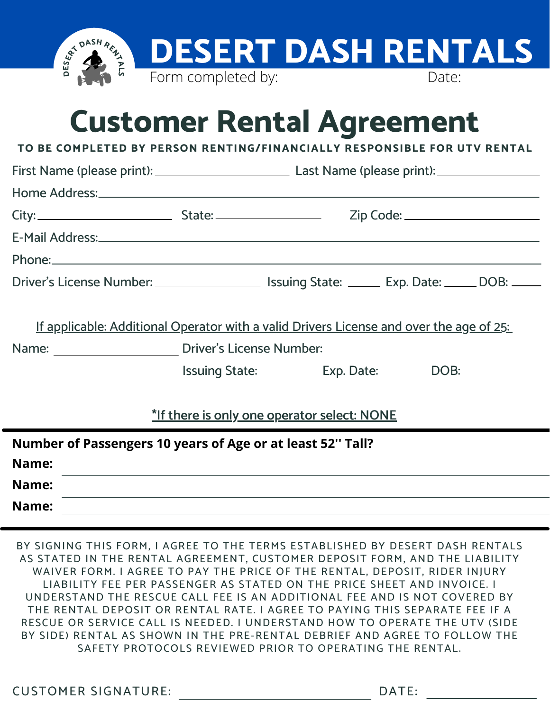

## **Customer Rental Agreement**

**TO BE COMPLETED BY PERSON RENTING/FINANCIALLY RESPONSIBLE FOR UTV RENTAL**

|                                                                                                                | First Name (please print): Last Name (please print): ____________________________ |                                |  |  |  |  |  |  |
|----------------------------------------------------------------------------------------------------------------|-----------------------------------------------------------------------------------|--------------------------------|--|--|--|--|--|--|
|                                                                                                                |                                                                                   |                                |  |  |  |  |  |  |
|                                                                                                                |                                                                                   |                                |  |  |  |  |  |  |
| E-Mail Address: No. 2014 19:30 19:30 19:30 19:30 19:30 19:30 19:30 19:30 19:30 19:30 19:30 19:30 19:30 19:30 1 |                                                                                   |                                |  |  |  |  |  |  |
|                                                                                                                |                                                                                   |                                |  |  |  |  |  |  |
| Driver's License Number: _____________________ Issuing State: _______ Exp. Date: ______ DOB: _____             |                                                                                   |                                |  |  |  |  |  |  |
| If applicable: Additional Operator with a valid Drivers License and over the age of 25:                        |                                                                                   |                                |  |  |  |  |  |  |
| Name: <u>Name:</u> Driver's License Number:                                                                    |                                                                                   |                                |  |  |  |  |  |  |
|                                                                                                                |                                                                                   | Issuing State: Exp. Date: DOB: |  |  |  |  |  |  |
| *If there is only one operator select: NONE                                                                    |                                                                                   |                                |  |  |  |  |  |  |
| Number of Passengers 10 years of Age or at least 52" Tall?<br>Name:                                            |                                                                                   |                                |  |  |  |  |  |  |
|                                                                                                                |                                                                                   |                                |  |  |  |  |  |  |

**Name:**

**Name:**

BY SIGNING THIS FORM, I AGREE TO THE TERMS ESTABLISHED BY DESERT DASH RENTALS AS STATED IN THE RENTAL AGREEMENT, CUSTOMER DEPOSIT FORM, AND THE LIABILITY WAIVER FORM. I AGREE TO PAY THE PRICE OF THE RENTAL, DEPOSIT, RIDER INJURY LIABILITY FEE PER PASSENGER AS STATED ON THE PRICE SHEET AND INVOICE. I UNDERSTAND THE RESCUE CALL FEE IS AN ADDITIONAL FEE AND IS NOT COVERED BY THE RENTAL DEPOSIT OR RENTAL RATE. I AGREE TO PAYING THIS SEPARATE FEE IF A RESCUE OR SERVICE CALL IS NEEDED. I UNDERSTAND HOW TO OPERATE THE UTV (SIDE BY SIDE) RENTAL AS SHOWN IN THE PRE-RENTAL DEBRIEF AND AGREE TO FOLLOW THE SAFETY PROTOCOLS REVIEWED PRIOR TO OPERATING THE RENTAL.

**CUSTOMER SIGNATURE:** 

| ۰. |  |  |
|----|--|--|
|    |  |  |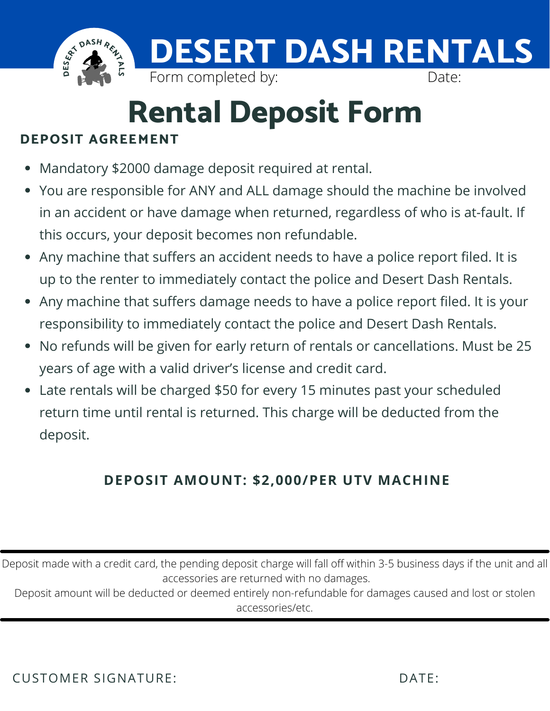

# **Rental Deposit Form**

### **DEPOSIT AGREEMENT**

- Mandatory \$2000 damage deposit required at rental.
- You are responsible for ANY and ALL damage should the machine be involved in an accident or have damage when returned, regardless of who is at-fault. If this occurs, your deposit becomes non refundable.
- Any machine that suffers an accident needs to have a police report filed. It is up to the renter to immediately contact the police and Desert Dash Rentals.
- Any machine that suffers damage needs to have a police report filed. It is your responsibility to immediately contact the police and Desert Dash Rentals.
- No refunds will be given for early return of rentals or cancellations. Must be 25 years of age with a valid driver's license and credit card.
- Late rentals will be charged \$50 for every 15 minutes past your scheduled return time until rental is returned. This charge will be deducted from the deposit.

## **DEPOSIT AMOUNT: \$2,000/PER UTV MACHINE**

Deposit made with a credit card, the pending deposit charge will fall off within 3-5 business days if the unit and all accessories are returned with no damages.

Deposit amount will be deducted or deemed entirely non-refundable for damages caused and lost or stolen accessories/etc.

CUSTOMER SIGNATURE: DATE: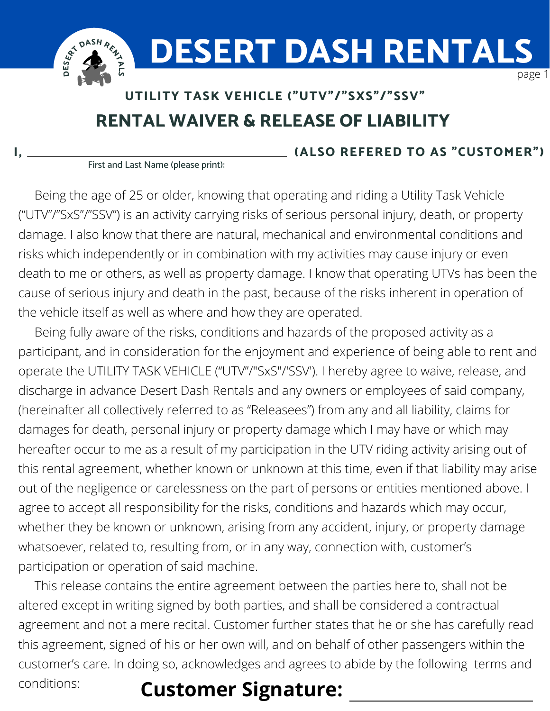

## **RENTAL WAIVER & RELEASE OF LIABILITY UTILITY TASK VEHICLE ("UTV"/"SXS"/"SSV"**

**I, (ALSO REFERED TO AS "CUSTOMER")**

First and Last Name (please print):

Being the age of 25 or older, knowing that operating and riding a Utility Task Vehicle ("UTV"/"SxS"/"SSV") is an activity carrying risks of serious personal injury, death, or property damage. I also know that there are natural, mechanical and environmental conditions and risks which independently or in combination with my activities may cause injury or even death to me or others, as well as property damage. I know that operating UTVs has been the cause of serious injury and death in the past, because of the risks inherent in operation of the vehicle itself as well as where and how they are operated.

Being fully aware of the risks, conditions and hazards of the proposed activity as a participant, and in consideration for the enjoyment and experience of being able to rent and operate the UTILITY TASK VEHICLE ("UTV"/"SxS"/'SSV'). I hereby agree to waive, release, and discharge in advance Desert Dash Rentals and any owners or employees of said company, (hereinafter all collectively referred to as "Releasees") from any and all liability, claims for damages for death, personal injury or property damage which I may have or which may hereafter occur to me as a result of my participation in the UTV riding activity arising out of this rental agreement, whether known or unknown at this time, even if that liability may arise out of the negligence or carelessness on the part of persons or entities mentioned above. I agree to accept all responsibility for the risks, conditions and hazards which may occur, whether they be known or unknown, arising from any accident, injury, or property damage whatsoever, related to, resulting from, or in any way, connection with, customer's participation or operation of said machine.

This release contains the entire agreement between the parties here to, shall not be altered except in writing signed by both parties, and shall be considered a contractual agreement and not a mere recital. Customer further states that he or she has carefully read this agreement, signed of his or her own will, and on behalf of other passengers within the customer's care. In doing so, acknowledges and agrees to abide by the following terms and conditions:

## **Customer Signature:**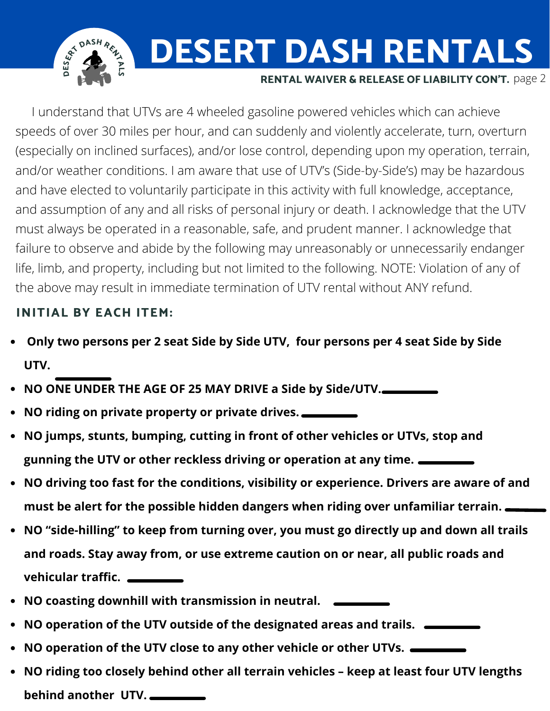**D E SER<sup>T</sup> <sup>D</sup>AS<sup>H</sup> <sup>R</sup>ENTALS DESERT DASH RENTALS RENTAL WAIVER & RELEASE OF LIABILITY CON'T.** page 2

I understand that UTVs are 4 wheeled gasoline powered vehicles which can achieve speeds of over 30 miles per hour, and can suddenly and violently accelerate, turn, overturn (especially on inclined surfaces), and/or lose control, depending upon my operation, terrain, and/or weather conditions. I am aware that use of UTV's (Side-by-Side's) may be hazardous and have elected to voluntarily participate in this activity with full knowledge, acceptance, and assumption of any and all risks of personal injury or death. I acknowledge that the UTV must always be operated in a reasonable, safe, and prudent manner. I acknowledge that failure to observe and abide by the following may unreasonably or unnecessarily endanger life, limb, and property, including but not limited to the following. NOTE: Violation of any of the above may result in immediate termination of UTV rental without ANY refund.

#### **INITIAL BY EACH ITEM:**

- **Only two persons per 2 seat Side by Side UTV, four persons per 4 seat Side by Side UTV.**
- **NO ONE UNDER THE AGE OF 25 MAY DRIVE a Side by Side/UTV.**
- **NO riding on private property or private drives.**
- **NO jumps, stunts, bumping, cutting in front of other vehicles or UTVs, stop and gunning the UTV or other reckless driving or operation at any time.**
- **NO driving too fast for the conditions, visibility or experience. Drivers are aware of and must be alert for the possible hidden dangers when riding over unfamiliar terrain.**
- **NO "side-hilling" to keep from turning over, you must go directly up and down all trails and roads. Stay away from, or use extreme caution on or near, all public roads and vehicular traffic.**
- **NO coasting downhill with transmission in neutral.**
- **NO operation of the UTV outside of the designated areas and trails.**
- **NO operation of the UTV close to any other vehicle or other UTVs.**
- **NO riding too closely behind other all terrain vehicles – keep at least four UTV lengths behind another UTV.**